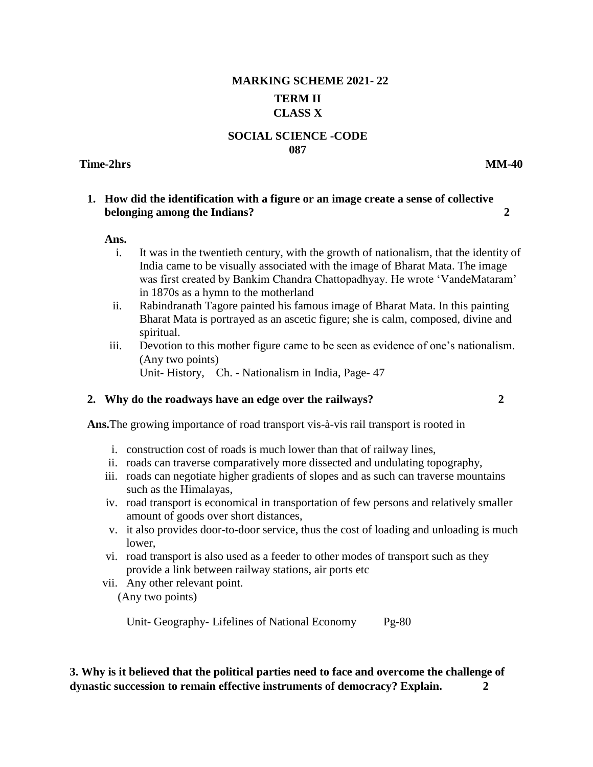# **MARKING SCHEME 2021- 22 TERM II CLASS X**

#### **SOCIAL SCIENCE -CODE 087**

#### **Time-2hrs MM-40**

#### **1. How did the identification with a figure or an image create a sense of collective belonging among the Indians? 2**

#### **Ans.**

- i. It was in the twentieth century, with the growth of nationalism, that the identity of India came to be visually associated with the image of Bharat Mata. The image was first created by Bankim Chandra Chattopadhyay. He wrote 'VandeMataram' in 1870s as a hymn to the motherland
- ii. Rabindranath Tagore painted his famous image of Bharat Mata. In this painting Bharat Mata is portrayed as an ascetic figure; she is calm, composed, divine and spiritual.
- iii. Devotion to this mother figure came to be seen as evidence of one's nationalism. (Any two points) Unit- History, Ch. - Nationalism in India, Page- 47

#### **2. Why do the roadways have an edge over the railways? 2** 2

**Ans.**The growing importance of road transport vis-à-vis rail transport is rooted in

- i. construction cost of roads is much lower than that of railway lines,
- ii. roads can traverse comparatively more dissected and undulating topography,
- iii. roads can negotiate higher gradients of slopes and as such can traverse mountains such as the Himalayas,
- iv. road transport is economical in transportation of few persons and relatively smaller amount of goods over short distances,
- v. it also provides door-to-door service, thus the cost of loading and unloading is much lower,
- vi. road transport is also used as a feeder to other modes of transport such as they provide a link between railway stations, air ports etc
- vii. Any other relevant point. (Any two points)

Unit- Geography- Lifelines of National Economy Pg-80

**3. Why is it believed that the political parties need to face and overcome the challenge of dynastic succession to remain effective instruments of democracy? Explain. 2**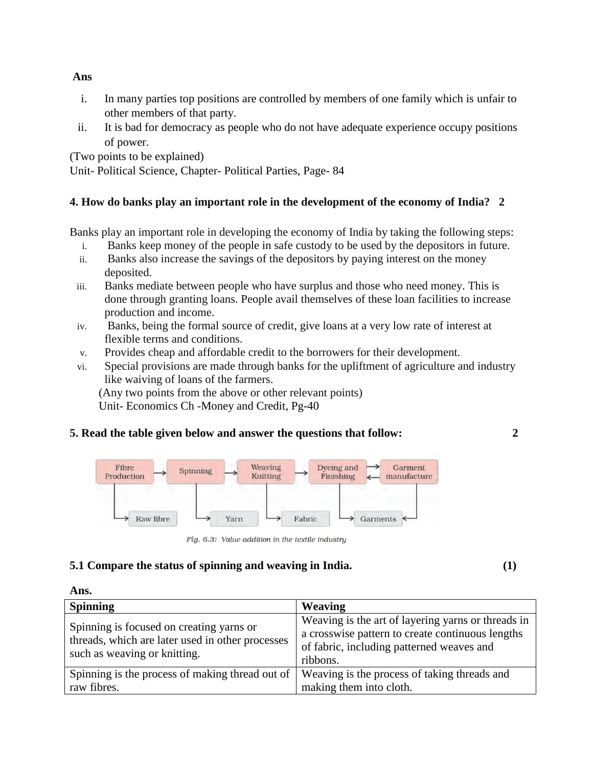- i. In many parties top positions are controlled by members of one family which is unfair to other members of that party.
- ii. It is bad for democracy as people who do not have adequate experience occupy positions of power.

(Two points to be explained)

Unit- Political Science, Chapter- Political Parties, Page- 84

# **4. How do banks play an important role in the development of the economy of India? 2**

Banks play an important role in developing the economy of India by taking the following steps:

- i. Banks keep money of the people in safe custody to be used by the depositors in future.
- ii. Banks also increase the savings of the depositors by paying interest on the money deposited.
- iii. Banks mediate between people who have surplus and those who need money. This is done through granting loans. People avail themselves of these loan facilities to increase production and income.
- iv. Banks, being the formal source of credit, give loans at a very low rate of interest at flexible terms and conditions.
- v. Provides cheap and affordable credit to the borrowers for their development.
- vi. Special provisions are made through banks for the upliftment of agriculture and industry like waiving of loans of the farmers.

(Any two points from the above or other relevant points) Unit- Economics Ch -Money and Credit, Pg-40

# **5. Read the table given below and answer the questions that follow: 2**



Fig. 6.3: Value addition in the textile industry

# **5.1 Compare the status of spinning and weaving in India. (1)**

**Ans.**

| <b>Spinning</b>                                                                                                              | Weaving                                                                                                                                                         |
|------------------------------------------------------------------------------------------------------------------------------|-----------------------------------------------------------------------------------------------------------------------------------------------------------------|
| Spinning is focused on creating yarns or<br>threads, which are later used in other processes<br>such as weaving or knitting. | Weaving is the art of layering yarns or threads in<br>a crosswise pattern to create continuous lengths<br>of fabric, including patterned weaves and<br>ribbons. |
| Spinning is the process of making thread out of<br>raw fibres.                                                               | Weaving is the process of taking threads and<br>making them into cloth.                                                                                         |

#### **Ans**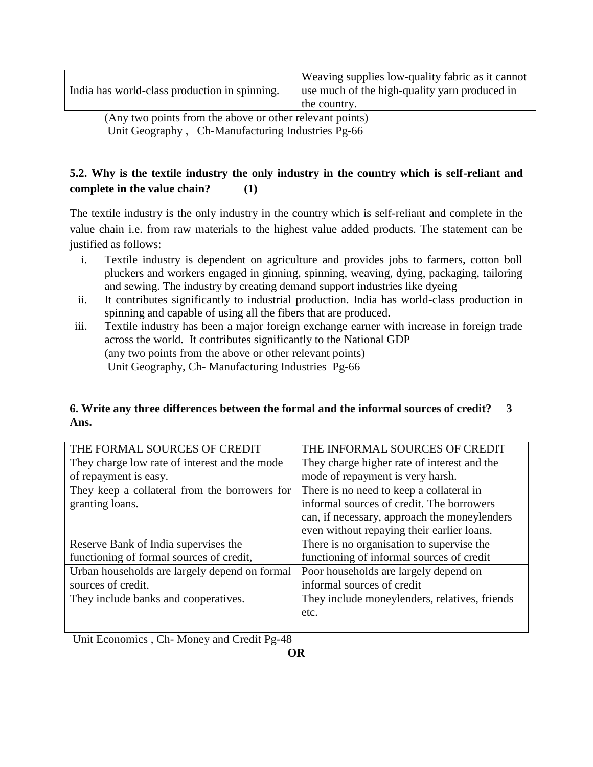India has world-class production in spinning.

Weaving supplies low-quality fabric as it cannot use much of the high-quality yarn produced in the country.

(Any two points from the above or other relevant points) Unit Geography , Ch-Manufacturing Industries Pg-66

# **5.2. Why is the textile industry the only industry in the country which is self-reliant and complete in the value chain? (1)**

The textile industry is the only industry in the country which is self-reliant and complete in the value chain i.e. from raw materials to the highest value added products. The statement can be justified as follows:

- i. Textile industry is dependent on agriculture and provides jobs to farmers, cotton boll pluckers and workers engaged in ginning, spinning, weaving, dying, packaging, tailoring and sewing. The industry by creating demand support industries like dyeing
- ii. It contributes significantly to industrial production. India has world-class production in spinning and capable of using all the fibers that are produced.
- iii. Textile industry has been a major foreign exchange earner with increase in foreign trade across the world. It contributes significantly to the National GDP (any two points from the above or other relevant points) Unit Geography, Ch- Manufacturing Industries Pg-66

### **6. Write any three differences between the formal and the informal sources of credit? 3 Ans.**

| THE FORMAL SOURCES OF CREDIT                  | THE INFORMAL SOURCES OF CREDIT                |
|-----------------------------------------------|-----------------------------------------------|
| They charge low rate of interest and the mode | They charge higher rate of interest and the   |
| of repayment is easy.                         | mode of repayment is very harsh.              |
| They keep a collateral from the borrowers for | There is no need to keep a collateral in      |
| granting loans.                               | informal sources of credit. The borrowers     |
|                                               | can, if necessary, approach the moneylenders  |
|                                               | even without repaying their earlier loans.    |
| Reserve Bank of India supervises the          | There is no organisation to supervise the     |
| functioning of formal sources of credit,      | functioning of informal sources of credit     |
| Urban households are largely depend on formal | Poor households are largely depend on         |
| sources of credit.                            | informal sources of credit                    |
| They include banks and cooperatives.          | They include moneylenders, relatives, friends |
|                                               | etc.                                          |
|                                               |                                               |

Unit Economics , Ch- Money and Credit Pg-48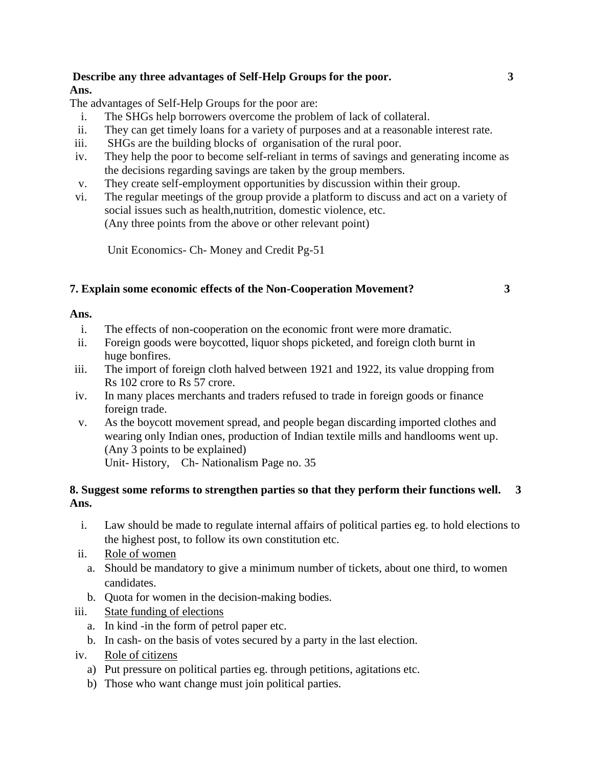### **Describe any three advantages of Self-Help Groups for the poor. 3 Ans.**

The advantages of Self-Help Groups for the poor are:

- i. The SHGs help borrowers overcome the problem of lack of collateral.
- ii. They can get timely loans for a variety of purposes and at a reasonable interest rate.
- iii. SHGs are the building blocks of organisation of the rural poor.
- iv. They help the poor to become self-reliant in terms of savings and generating income as the decisions regarding savings are taken by the group members.
- v. They create self-employment opportunities by discussion within their group.
- vi. The regular meetings of the group provide a platform to discuss and act on a variety of social issues such as health,nutrition, domestic violence, etc. (Any three points from the above or other relevant point)

Unit Economics- Ch- Money and Credit Pg-51

### **7. Explain some economic effects of the Non-Cooperation Movement? 3**

### **Ans.**

- i. The effects of non-cooperation on the economic front were more dramatic.
- ii. Foreign goods were boycotted, liquor shops picketed, and foreign cloth burnt in huge bonfires.
- iii. The import of foreign cloth halved between 1921 and 1922, its value dropping from Rs 102 crore to Rs 57 crore.
- iv. In many places merchants and traders refused to trade in foreign goods or finance foreign trade.
- v. As the boycott movement spread, and people began discarding imported clothes and wearing only Indian ones, production of Indian textile mills and handlooms went up. (Any 3 points to be explained) Unit- History, Ch- Nationalism Page no. 35

### **8. Suggest some reforms to strengthen parties so that they perform their functions well. 3 Ans.**

- i. Law should be made to regulate internal affairs of political parties eg. to hold elections to the highest post, to follow its own constitution etc.
- ii. Role of women
	- a. Should be mandatory to give a minimum number of tickets, about one third, to women candidates.
	- b. Quota for women in the decision-making bodies.
- iii. State funding of elections
	- a. In kind -in the form of petrol paper etc.
	- b. In cash- on the basis of votes secured by a party in the last election.
- iv. Role of citizens
	- a) Put pressure on political parties eg. through petitions, agitations etc.
	- b) Those who want change must join political parties.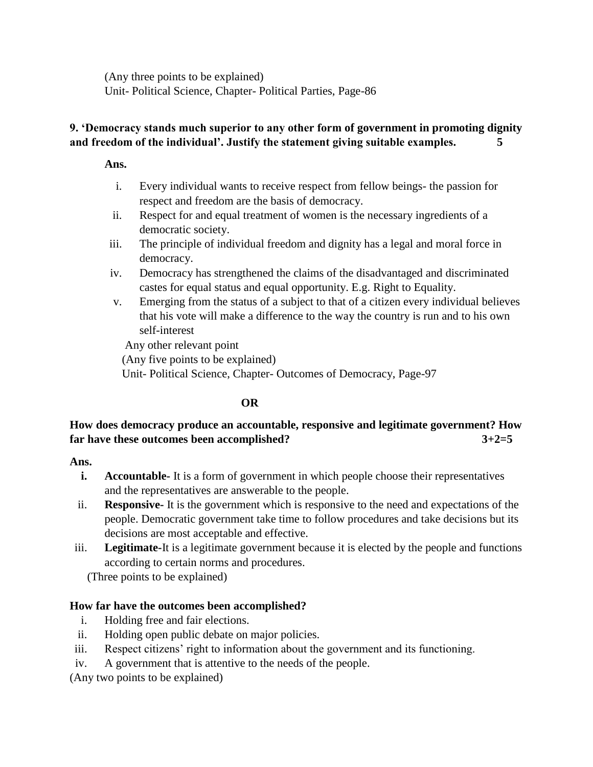(Any three points to be explained) Unit- Political Science, Chapter- Political Parties, Page-86

### **9. 'Democracy stands much superior to any other form of government in promoting dignity and freedom of the individual'. Justify the statement giving suitable examples. 5**

**Ans.**

- i. Every individual wants to receive respect from fellow beings- the passion for respect and freedom are the basis of democracy.
- ii. Respect for and equal treatment of women is the necessary ingredients of a democratic society.
- iii. The principle of individual freedom and dignity has a legal and moral force in democracy.
- iv. Democracy has strengthened the claims of the disadvantaged and discriminated castes for equal status and equal opportunity. E.g. Right to Equality.
- v. Emerging from the status of a subject to that of a citizen every individual believes that his vote will make a difference to the way the country is run and to his own self-interest

Any other relevant point (Any five points to be explained) Unit- Political Science, Chapter- Outcomes of Democracy, Page-97

# **OR**

# **How does democracy produce an accountable, responsive and legitimate government? How far have these outcomes been accomplished? 3+2=5**

**Ans.** 

- **i. Accountable-** It is a form of government in which people choose their representatives and the representatives are answerable to the people.
- ii. **Responsive-** It is the government which is responsive to the need and expectations of the people. Democratic government take time to follow procedures and take decisions but its decisions are most acceptable and effective.
- iii. **Legitimate-**It is a legitimate government because it is elected by the people and functions according to certain norms and procedures.

(Three points to be explained)

# **How far have the outcomes been accomplished?**

- i. Holding free and fair elections.
- ii. Holding open public debate on major policies.
- iii. Respect citizens' right to information about the government and its functioning.
- iv. A government that is attentive to the needs of the people.

(Any two points to be explained)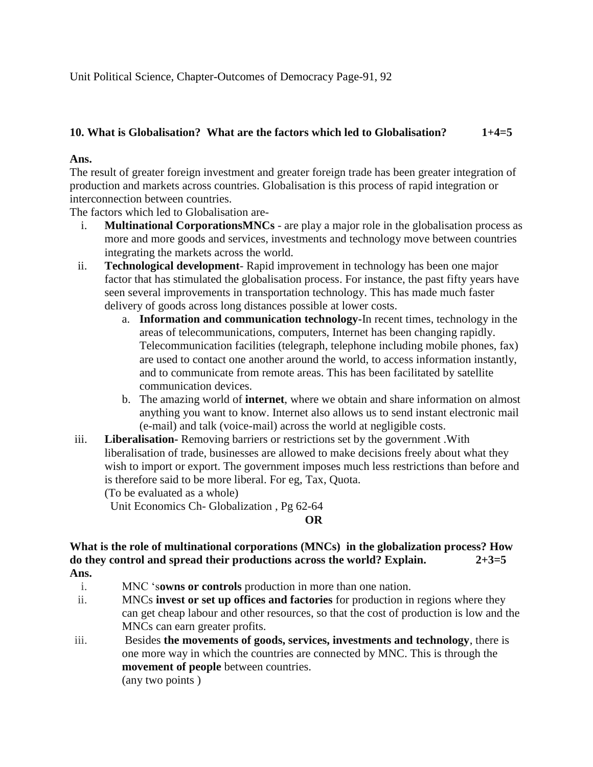Unit Political Science, Chapter-Outcomes of Democracy Page-91, 92

# **10. What is Globalisation? What are the factors which led to Globalisation? 1+4=5**

### **Ans.**

The result of greater foreign investment and greater foreign trade has been greater integration of production and markets across countries. Globalisation is this process of rapid integration or interconnection between countries.

The factors which led to Globalisation are-

- i. **Multinational CorporationsMNCs**  are play a major role in the globalisation process as more and more goods and services, investments and technology move between countries integrating the markets across the world.
- ii. **Technological development** Rapid improvement in technology has been one major factor that has stimulated the globalisation process. For instance, the past fifty years have seen several improvements in transportation technology. This has made much faster delivery of goods across long distances possible at lower costs.
	- a. **Information and communication technology-**In recent times, technology in the areas of telecommunications, computers, Internet has been changing rapidly. Telecommunication facilities (telegraph, telephone including mobile phones, fax) are used to contact one another around the world, to access information instantly, and to communicate from remote areas. This has been facilitated by satellite communication devices.
	- b. The amazing world of **internet**, where we obtain and share information on almost anything you want to know. Internet also allows us to send instant electronic mail (e-mail) and talk (voice-mail) across the world at negligible costs.
- iii. **Liberalisation-** Removing barriers or restrictions set by the government .With liberalisation of trade, businesses are allowed to make decisions freely about what they wish to import or export. The government imposes much less restrictions than before and is therefore said to be more liberal. For eg, Tax, Quota. (To be evaluated as a whole)

Unit Economics Ch- Globalization , Pg 62-64

### **OR**

#### **What is the role of multinational corporations (MNCs) in the globalization process? How do they control and spread their productions across the world? Explain. 2+3=5 Ans.**

- - i. MNC 's**owns or controls** production in more than one nation.
- ii. MNCs **invest or set up offices and factories** for production in regions where they can get cheap labour and other resources, so that the cost of production is low and the MNCs can earn greater profits.
- iii. Besides **the movements of goods, services, investments and technology**, there is one more way in which the countries are connected by MNC. This is through the **movement of people** between countries. (any two points )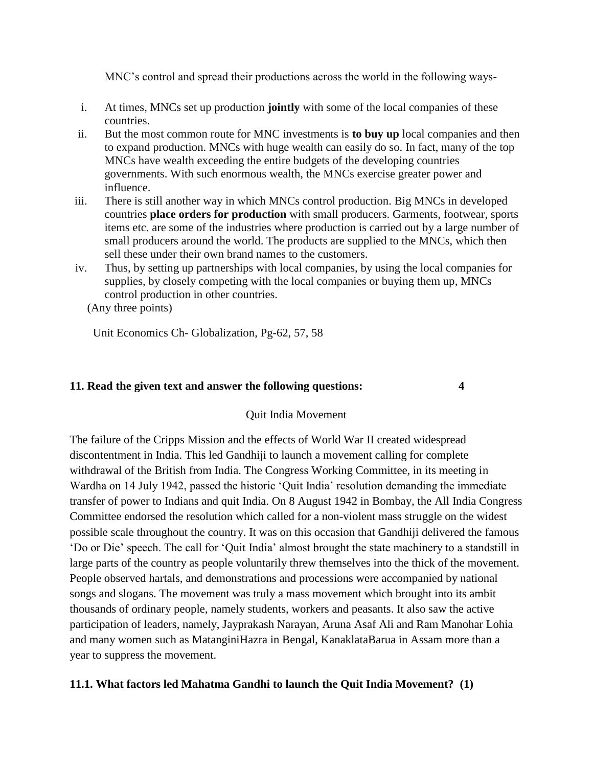MNC's control and spread their productions across the world in the following ways-

- i. At times, MNCs set up production **jointly** with some of the local companies of these countries.
- ii. But the most common route for MNC investments is **to buy up** local companies and then to expand production. MNCs with huge wealth can easily do so. In fact, many of the top MNCs have wealth exceeding the entire budgets of the developing countries governments. With such enormous wealth, the MNCs exercise greater power and influence.
- iii. There is still another way in which MNCs control production. Big MNCs in developed countries **place orders for production** with small producers. Garments, footwear, sports items etc. are some of the industries where production is carried out by a large number of small producers around the world. The products are supplied to the MNCs, which then sell these under their own brand names to the customers.
- iv. Thus, by setting up partnerships with local companies, by using the local companies for supplies, by closely competing with the local companies or buying them up, MNCs control production in other countries.

(Any three points)

Unit Economics Ch- Globalization, Pg-62, 57, 58

### **11. Read the given text and answer the following questions: 4**

### Quit India Movement

The failure of the Cripps Mission and the effects of World War II created widespread discontentment in India. This led Gandhiji to launch a movement calling for complete withdrawal of the British from India. The Congress Working Committee, in its meeting in Wardha on 14 July 1942, passed the historic 'Quit India' resolution demanding the immediate transfer of power to Indians and quit India. On 8 August 1942 in Bombay, the All India Congress Committee endorsed the resolution which called for a non-violent mass struggle on the widest possible scale throughout the country. It was on this occasion that Gandhiji delivered the famous 'Do or Die' speech. The call for 'Quit India' almost brought the state machinery to a standstill in large parts of the country as people voluntarily threw themselves into the thick of the movement. People observed hartals, and demonstrations and processions were accompanied by national songs and slogans. The movement was truly a mass movement which brought into its ambit thousands of ordinary people, namely students, workers and peasants. It also saw the active participation of leaders, namely, Jayprakash Narayan, Aruna Asaf Ali and Ram Manohar Lohia and many women such as MatanginiHazra in Bengal, KanaklataBarua in Assam more than a year to suppress the movement.

### **11.1. What factors led Mahatma Gandhi to launch the Quit India Movement? (1)**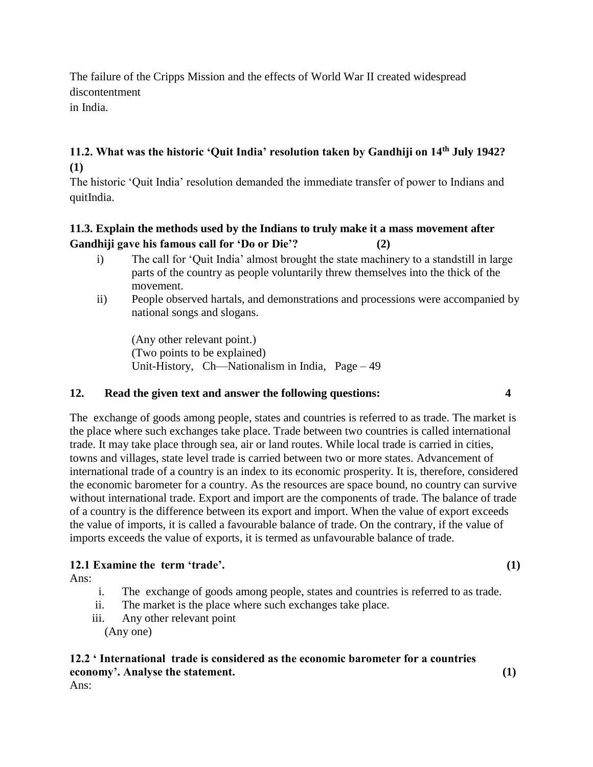The failure of the Cripps Mission and the effects of World War II created widespread discontentment in India.

**11.2. What was the historic 'Quit India' resolution taken by Gandhiji on 14th July 1942? (1)**

The historic 'Quit India' resolution demanded the immediate transfer of power to Indians and quitIndia.

# **11.3. Explain the methods used by the Indians to truly make it a mass movement after Gandhiji gave his famous call for 'Do or Die'? (2)**

- i) The call for 'Quit India' almost brought the state machinery to a standstill in large parts of the country as people voluntarily threw themselves into the thick of the movement.
- ii) People observed hartals, and demonstrations and processions were accompanied by national songs and slogans.

(Any other relevant point.) (Two points to be explained) Unit-History, Ch—Nationalism in India, Page – 49

### **12. Read the given text and answer the following questions: 4**

The exchange of goods among people, states and countries is referred to as trade. The market is the place where such exchanges take place. Trade between two countries is called international trade. It may take place through sea, air or land routes. While local trade is carried in cities, towns and villages, state level trade is carried between two or more states. Advancement of international trade of a country is an index to its economic prosperity. It is, therefore, considered the economic barometer for a country. As the resources are space bound, no country can survive without international trade. Export and import are the components of trade. The balance of trade of a country is the difference between its export and import. When the value of export exceeds the value of imports, it is called a favourable balance of trade. On the contrary, if the value of imports exceeds the value of exports, it is termed as unfavourable balance of trade.

# **12.1 Examine the term 'trade'. (1)**

Ans:

- i. The exchange of goods among people, states and countries is referred to as trade.
- ii. The market is the place where such exchanges take place.
- iii. Any other relevant point (Any one)

### **12.2 ' International trade is considered as the economic barometer for a countries economy'. Analyse the statement. (1)**

Ans: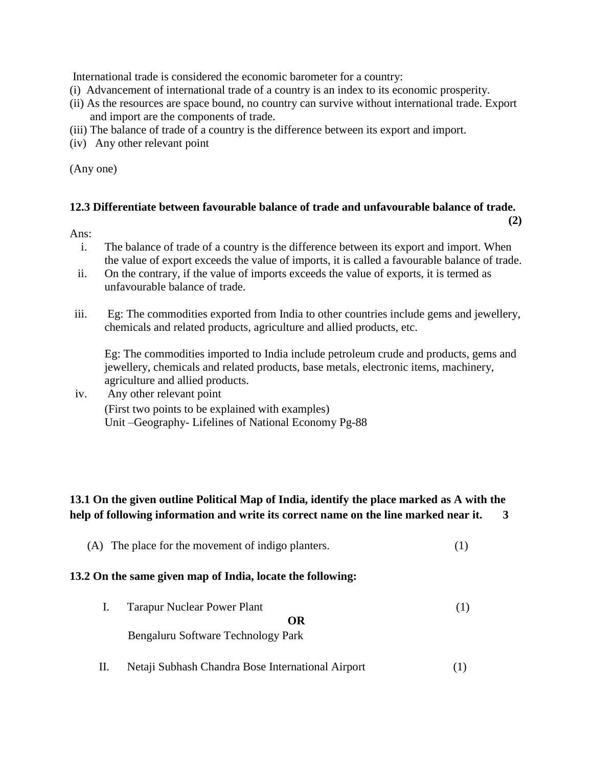International trade is considered the economic barometer for a country:

- (i) Advancement of international trade of a country is an index to its economic prosperity.
- (ii) As the resources are space bound, no country can survive without international trade. Export and import are the components of trade.
- (iii) The balance of trade of a country is the difference between its export and import.
- (iv) Any other relevant point

(Any one)

#### **12.3 Differentiate between favourable balance of trade and unfavourable balance of trade.**

 **(2)**

#### Ans:

- i. The balance of trade of a country is the difference between its export and import. When the value of export exceeds the value of imports, it is called a favourable balance of trade.
- ii. On the contrary, if the value of imports exceeds the value of exports, it is termed as unfavourable balance of trade.
- iii. Eg: The commodities exported from India to other countries include gems and jewellery, chemicals and related products, agriculture and allied products, etc.

Eg: The commodities imported to India include petroleum crude and products, gems and jewellery, chemicals and related products, base metals, electronic items, machinery, agriculture and allied products.

### iv. Any other relevant point (First two points to be explained with examples) Unit –Geography- Lifelines of National Economy Pg-88

# **13.1 On the given outline Political Map of India, identify the place marked as A with the help of following information and write its correct name on the line marked near it. 3**

(A) The place for the movement of indigo planters. (1)

#### **13.2 On the same given map of India, locate the following:**

- I. Tarapur Nuclear Power Plant (1) **OR** Bengaluru Software Technology Park
- II. Netaji Subhash Chandra Bose International Airport (1)